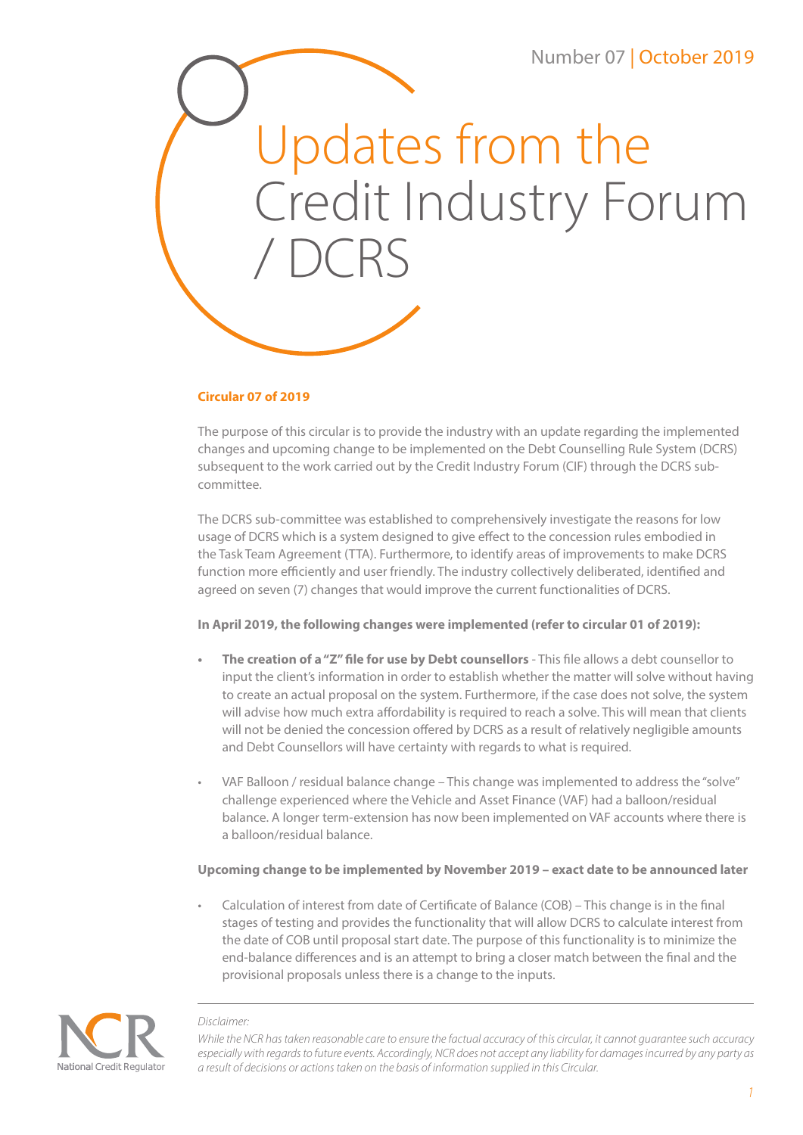

## **Circular 07 of 2019**

The purpose of this circular is to provide the industry with an update regarding the implemented changes and upcoming change to be implemented on the Debt Counselling Rule System (DCRS) subsequent to the work carried out by the Credit Industry Forum (CIF) through the DCRS subcommittee.

The DCRS sub-committee was established to comprehensively investigate the reasons for low usage of DCRS which is a system designed to give effect to the concession rules embodied in the Task Team Agreement (TTA). Furthermore, to identify areas of improvements to make DCRS function more efficiently and user friendly. The industry collectively deliberated, identified and agreed on seven (7) changes that would improve the current functionalities of DCRS.

## **In April 2019, the following changes were implemented (refer to circular 01 of 2019):**

- **• The creation of a "Z" file for use by Debt counsellors** This file allows a debt counsellor to input the client's information in order to establish whether the matter will solve without having to create an actual proposal on the system. Furthermore, if the case does not solve, the system will advise how much extra affordability is required to reach a solve. This will mean that clients will not be denied the concession offered by DCRS as a result of relatively negligible amounts and Debt Counsellors will have certainty with regards to what is required.
- VAF Balloon / residual balance change This change was implemented to address the "solve" challenge experienced where the Vehicle and Asset Finance (VAF) had a balloon/residual balance. A longer term-extension has now been implemented on VAF accounts where there is a balloon/residual balance.

# **Upcoming change to be implemented by November 2019 – exact date to be announced later**

• Calculation of interest from date of Certificate of Balance (COB) – This change is in the final stages of testing and provides the functionality that will allow DCRS to calculate interest from the date of COB until proposal start date. The purpose of this functionality is to minimize the end-balance differences and is an attempt to bring a closer match between the final and the provisional proposals unless there is a change to the inputs.



#### *Disclaimer:*

*While the NCR has taken reasonable care to ensure the factual accuracy of this circular, it cannot guarantee such accuracy especially with regards to future events. Accordingly, NCR does not accept any liability for damages incurred by any party as a result of decisions or actions taken on the basis of information supplied in this Circular.*